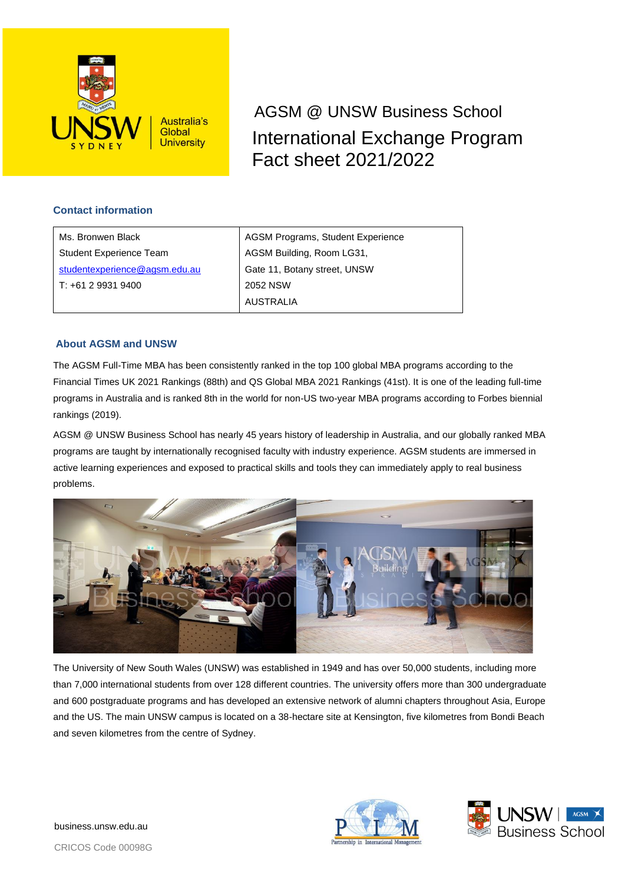

International Exchange Program Fact sheet 2021/2022 AGSM @ UNSW Business School

# **Contact information**

| Ms. Bronwen Black             | AGSM Programs, Student Experience |
|-------------------------------|-----------------------------------|
| Student Experience Team       | AGSM Building, Room LG31,         |
| studentexperience@agsm.edu.au | Gate 11, Botany street, UNSW      |
| T: +61 2 9931 9400            | 2052 NSW                          |
|                               | <b>AUSTRALIA</b>                  |

# **About AGSM and UNSW**

The AGSM Full-Time MBA has been consistently ranked in the top 100 global MBA programs according to the Financial Times UK 2021 Rankings (88th) and QS Global MBA 2021 Rankings (41st). It is one of the leading full-time programs in Australia and is ranked 8th in the world for non-US two-year MBA programs according to Forbes biennial rankings (2019).

AGSM @ UNSW Business School has nearly 45 years history of leadership in Australia, and our globally ranked MBA programs are taught by internationally recognised faculty with industry experience. AGSM students are immersed in active learning experiences and exposed to practical skills and tools they can immediately apply to real business problems.



The University of New South Wales (UNSW) was established in 1949 and has over 50,000 students, including more than 7,000 international students from over 128 different countries. The university offers more than 300 undergraduate and 600 postgraduate programs and has developed an extensive network of alumni chapters throughout Asia, Europe and the US. The main UNSW campus is located on a 38-hectare site at Kensington, five kilometres from Bondi Beach and seven kilometres from the centre of Sydney.





business.unsw.edu.au

CRICOS Code 00098G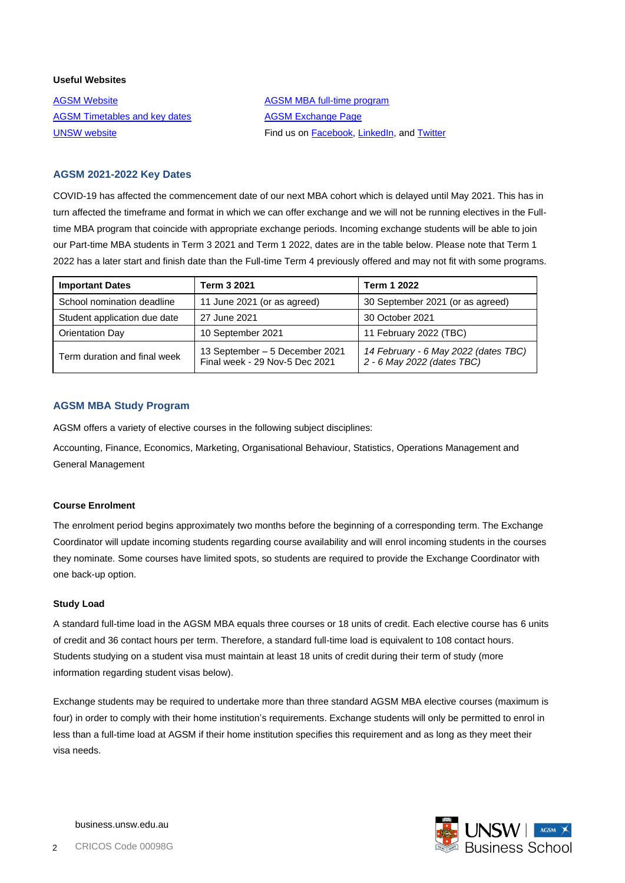## **Useful Websites**

[AGSM Website](https://www.agsm.edu.au/) [AGSM MBA full-time program](https://www.business.unsw.edu.au/agsm/programs/mba/mba-full-time) [AGSM Timetables and key dates](https://www.business.unsw.edu.au/agsm/students/resources/timetables-and-key-dates) **[AGSM Exchange Page](https://www.business.unsw.edu.au/agsm/about/international-study-options/joining-agsm-on-exchange)** 

[UNSW website](http://www.unsw.edu.au/) **Find us o[n Facebook,](https://www.facebook.com/UNSWAGSM/) [LinkedIn,](https://www.linkedin.com/school/agsm-nswbusinessschool/) an[d Twitter](https://twitter.com/UNSWAGSM)** 

# **AGSM 2021-2022 Key Dates**

COVID-19 has affected the commencement date of our next MBA cohort which is delayed until May 2021. This has in turn affected the timeframe and format in which we can offer exchange and we will not be running electives in the Fulltime MBA program that coincide with appropriate exchange periods. Incoming exchange students will be able to join our Part-time MBA students in Term 3 2021 and Term 1 2022, dates are in the table below. Please note that Term 1 2022 has a later start and finish date than the Full-time Term 4 previously offered and may not fit with some programs.

| <b>Important Dates</b>       | Term 3 2021                                                      | <b>Term 1 2022</b>                                                 |  |
|------------------------------|------------------------------------------------------------------|--------------------------------------------------------------------|--|
| School nomination deadline   | 11 June 2021 (or as agreed)                                      | 30 September 2021 (or as agreed)                                   |  |
| Student application due date | 27 June 2021                                                     | 30 October 2021                                                    |  |
| <b>Orientation Day</b>       | 10 September 2021                                                | 11 February 2022 (TBC)                                             |  |
| Term duration and final week | 13 September - 5 December 2021<br>Final week - 29 Nov-5 Dec 2021 | 14 February - 6 May 2022 (dates TBC)<br>2 - 6 May 2022 (dates TBC) |  |

# **AGSM MBA Study Program**

AGSM offers a variety of elective courses in the following subject disciplines:

Accounting, Finance, Economics, Marketing, Organisational Behaviour, Statistics, Operations Management and General Management

# **Course Enrolment**

The enrolment period begins approximately two months before the beginning of a corresponding term. The Exchange Coordinator will update incoming students regarding course availability and will enrol incoming students in the courses they nominate. Some courses have limited spots, so students are required to provide the Exchange Coordinator with one back-up option.

### **Study Load**

A standard full-time load in the AGSM MBA equals three courses or 18 units of credit. Each elective course has 6 units of credit and 36 contact hours per term. Therefore, a standard full-time load is equivalent to 108 contact hours. Students studying on a student visa must maintain at least 18 units of credit during their term of study (more information regarding student visas below).

Exchange students may be required to undertake more than three standard AGSM MBA elective courses (maximum is four) in order to comply with their home institution's requirements. Exchange students will only be permitted to enrol in less than a full-time load at AGSM if their home institution specifies this requirement and as long as they meet their visa needs.

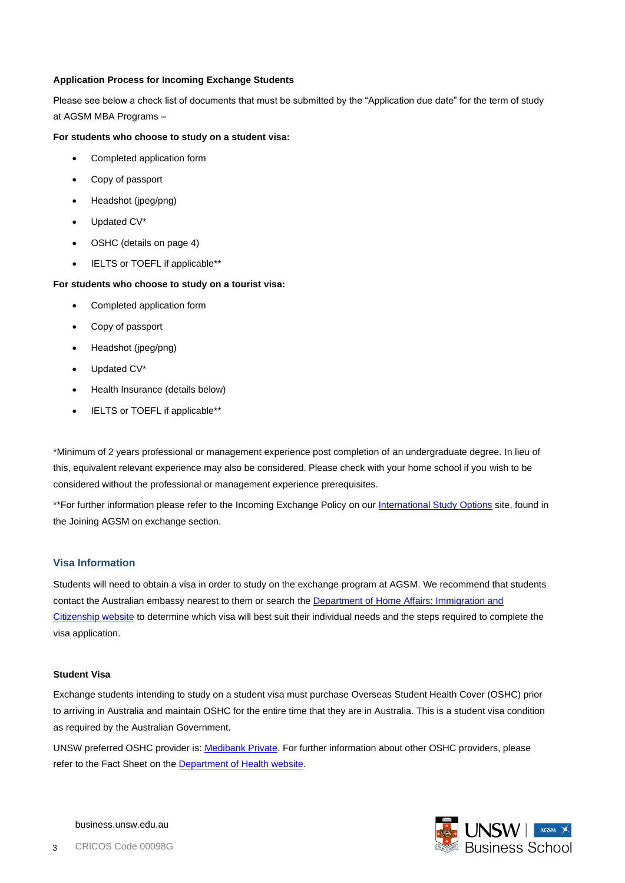## **Application Process for Incoming Exchange Students**

Please see below a check list of documents that must be submitted by the "Application due date" for the term of study at AGSM MBA Programs –

#### **For students who choose to study on a student visa:**

- Completed application form
- Copy of passport
- Headshot (jpeg/png)
- Updated CV\*
- OSHC (details on page 4)
- IELTS or TOEFL if applicable\*\*

#### **For students who choose to study on a tourist visa:**

- Completed application form
- Copy of passport
- Headshot (jpeg/png)
- Updated CV\*
- Health Insurance (details below)
- IELTS or TOEFL if applicable\*\*

\*Minimum of 2 years professional or management experience post completion of an undergraduate degree. In lieu of this, equivalent relevant experience may also be considered. Please check with your home school if you wish to be considered without the professional or management experience prerequisites.

\*\*For further information please refer to the Incoming Exchange Policy on ou[r International Study Options](https://www.business.unsw.edu.au/agsm/students/international-study-options) site, found in the Joining AGSM on exchange section.

# **Visa Information**

Students will need to obtain a visa in order to study on the exchange program at AGSM. We recommend that students contact the Australian embassy nearest to them or search the Department of [Home Affairs: Immigration and](https://immi.homeaffairs.gov.au/)  [Citizenship website](https://immi.homeaffairs.gov.au/) to determine which visa will best suit their individual needs and the steps required to complete the visa application.

### **Student Visa**

Exchange students intending to study on a student visa must purchase Overseas Student Health Cover (OSHC) prior to arriving in Australia and maintain OSHC for the entire time that they are in Australia. This is a student visa condition as required by the Australian Government.

UNSW preferred OSHC provider is: [Medibank Private.](https://www.unswglobal.unsw.edu.au/programs-courses/things-to-know/how-to-prepare/health-insurance/) For further information about other OSHC providers, please refer to the Fact Sheet on the [Department of Health website.](https://www.health.gov.au/resources/collections/overseas-student-health-cover-oshc-resources)

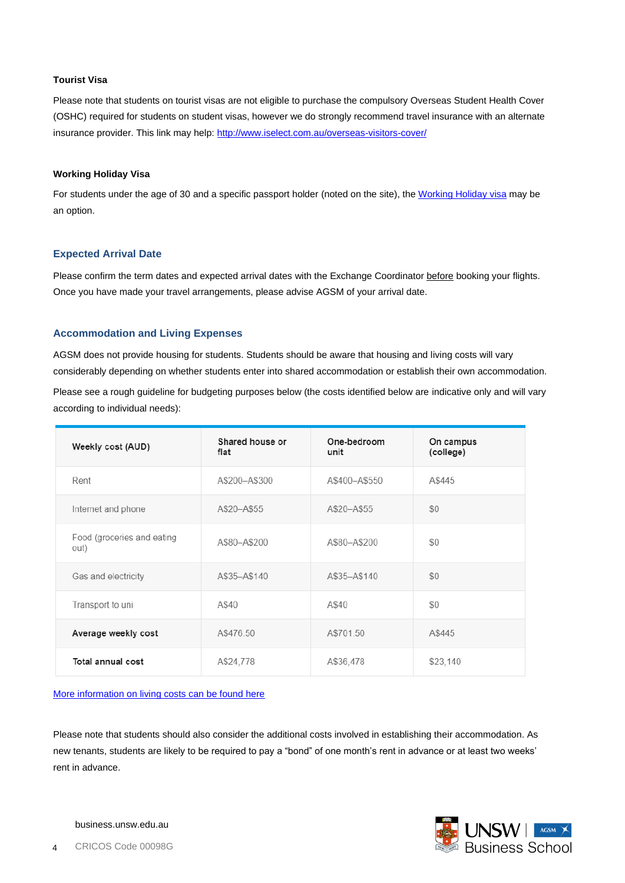## **Tourist Visa**

Please note that students on tourist visas are not eligible to purchase the compulsory Overseas Student Health Cover (OSHC) required for students on student visas, however we do strongly recommend travel insurance with an alternate insurance provider. This link may help:<http://www.iselect.com.au/overseas-visitors-cover/>

#### **Working Holiday Visa**

For students under the age of 30 and a specific passport holder (noted on the site), th[e Working Holiday](https://immi.homeaffairs.gov.au/visas/getting-a-visa/visa-listing/work-holiday-417/first-working-holiday-417) visa may be an option.

#### **Expected Arrival Date**

Please confirm the term dates and expected arrival dates with the Exchange Coordinator before booking your flights. Once you have made your travel arrangements, please advise AGSM of your arrival date.

# **Accommodation and Living Expenses**

AGSM does not provide housing for students. Students should be aware that housing and living costs will vary considerably depending on whether students enter into shared accommodation or establish their own accommodation. Please see a rough guideline for budgeting purposes below (the costs identified below are indicative only and will vary according to individual needs):

| Weekly cost (AUD)                  | Shared house or<br>flat | One-bedroom<br>unit | On campus<br>(college) |
|------------------------------------|-------------------------|---------------------|------------------------|
| Rent                               | A\$200-A\$300           | A\$400-A\$550       | A\$445                 |
| Internet and phone                 | A\$20-A\$55             | A\$20-A\$55         | \$0                    |
| Food (groceries and eating<br>out) | A\$80-A\$200            | A\$80-A\$200        | \$0                    |
| Gas and electricity                | A\$35-A\$140            | A\$35-A\$140        | \$0                    |
| Transport to uni                   | A\$40                   | A\$40               | \$0                    |
| Average weekly cost                | A\$476.50               | A\$701.50           | A\$445                 |
| Total annual cost                  | A\$24,778               | A\$36,478           | \$23,140               |

#### [More information on living costs can be found here](http://www.international.unsw.edu.au/cost-of-living)

Please note that students should also consider the additional costs involved in establishing their accommodation. As new tenants, students are likely to be required to pay a "bond" of one month's rent in advance or at least two weeks' rent in advance.

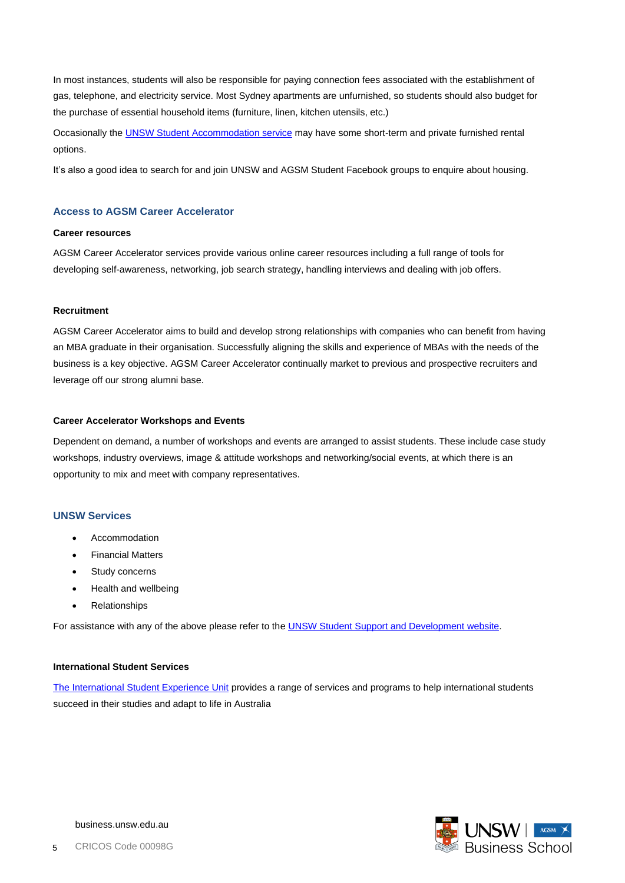In most instances, students will also be responsible for paying connection fees associated with the establishment of gas, telephone, and electricity service. Most Sydney apartments are unfurnished, so students should also budget for the purchase of essential household items (furniture, linen, kitchen utensils, etc.)

Occasionally the [UNSW Student Accommodation service](http://www.accommodation.unsw.edu.au/) may have some short-term and private furnished rental options.

It's also a good idea to search for and join UNSW and AGSM Student Facebook groups to enquire about housing.

# **Access to AGSM Career Accelerator**

#### **Career resources**

AGSM Career Accelerator services provide various online career resources including a full range of tools for developing self-awareness, networking, job search strategy, handling interviews and dealing with job offers.

#### **Recruitment**

AGSM Career Accelerator aims to build and develop strong relationships with companies who can benefit from having an MBA graduate in their organisation. Successfully aligning the skills and experience of MBAs with the needs of the business is a key objective. AGSM Career Accelerator continually market to previous and prospective recruiters and leverage off our strong alumni base.

#### **Career Accelerator Workshops and Events**

Dependent on demand, a number of workshops and events are arranged to assist students. These include case study workshops, industry overviews, image & attitude workshops and networking/social events, at which there is an opportunity to mix and meet with company representatives.

#### **UNSW Services**

- **Accommodation**
- Financial Matters
- Study concerns
- Health and wellbeing
- **Relationships**

For assistance with any of the above please refer to the UNSW Student [Support and Development](https://student.unsw.edu.au/support) website.

#### **International Student Services**

[The International Student Experience Unit](https://student.unsw.edu.au/international) provides a range of services and programs to help international students succeed in their studies and adapt to life in Australia